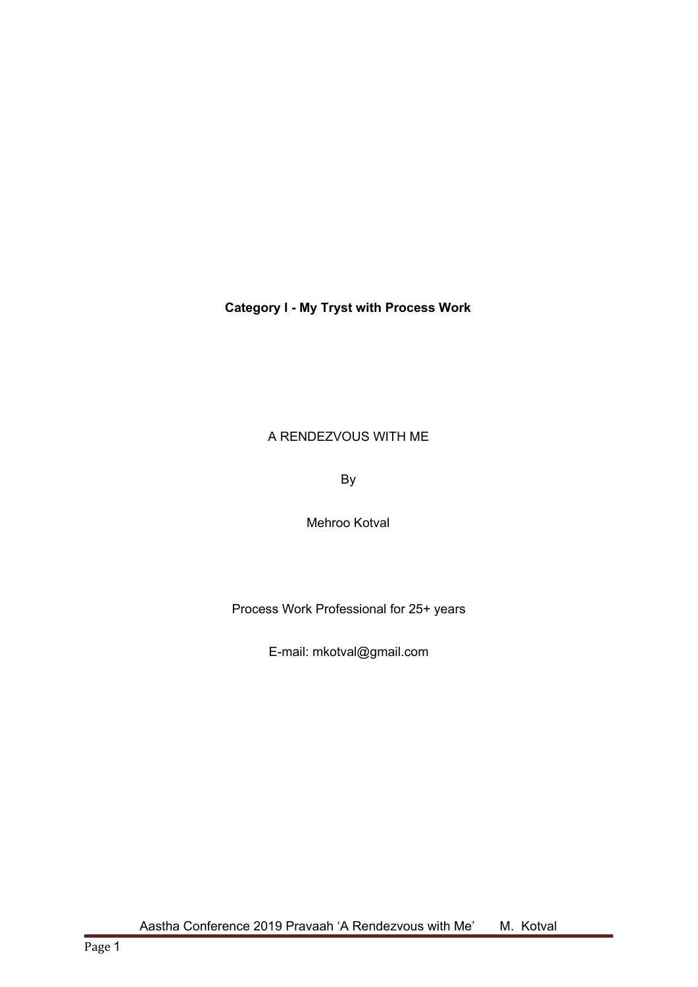# **Category I - My Tryst with Process Work**

# A RENDEZVOUS WITH ME

By

Mehroo Kotval

Process Work Professional for 25+ years

E-mail: mkotval@gmail.com

Aastha Conference 2019 Pravaah 'A Rendezvous with Me' M. Kotval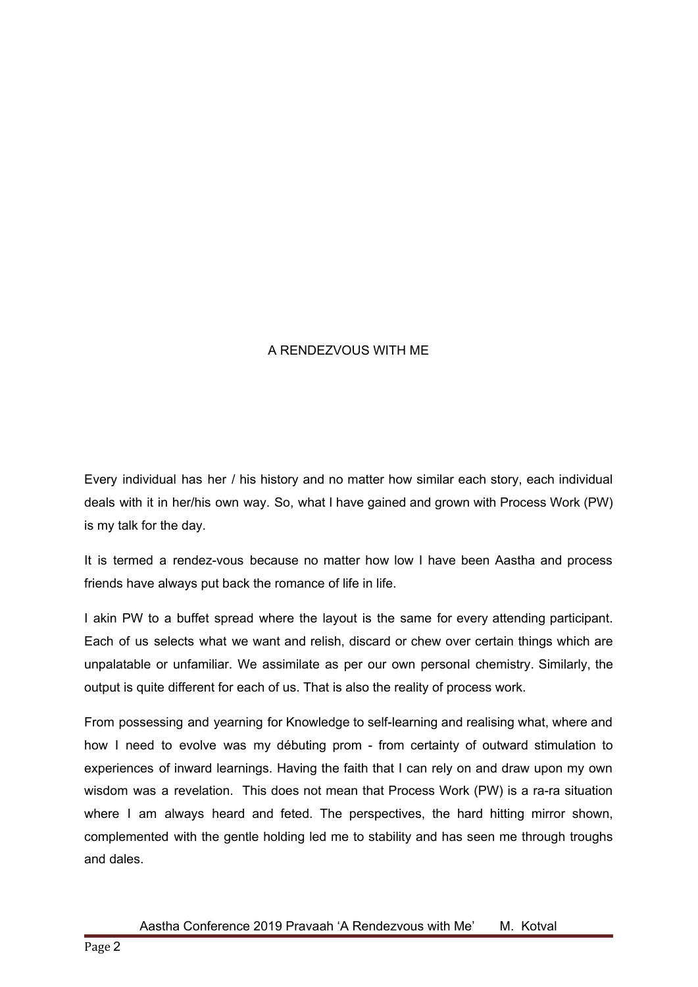# A RENDEZVOUS WITH ME

Every individual has her / his history and no matter how similar each story, each individual deals with it in her/his own way. So, what I have gained and grown with Process Work (PW) is my talk for the day.

It is termed a rendez-vous because no matter how low I have been Aastha and process friends have always put back the romance of life in life.

I akin PW to a buffet spread where the layout is the same for every attending participant. Each of us selects what we want and relish, discard or chew over certain things which are unpalatable or unfamiliar. We assimilate as per our own personal chemistry. Similarly, the output is quite different for each of us. That is also the reality of process work.

From possessing and yearning for Knowledge to self-learning and realising what, where and how I need to evolve was my débuting prom - from certainty of outward stimulation to experiences of inward learnings. Having the faith that I can rely on and draw upon my own wisdom was a revelation. This does not mean that Process Work (PW) is a ra-ra situation where I am always heard and feted. The perspectives, the hard hitting mirror shown, complemented with the gentle holding led me to stability and has seen me through troughs and dales.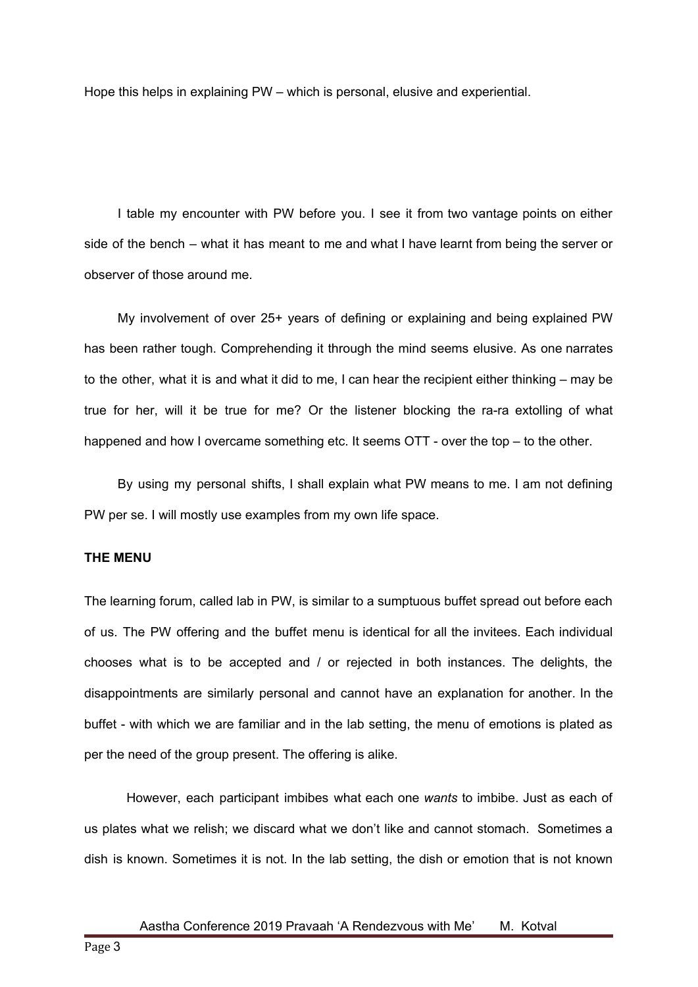Hope this helps in explaining PW – which is personal, elusive and experiential.

I table my encounter with PW before you. I see it from two vantage points on either side of the bench – what it has meant to me and what I have learnt from being the server or observer of those around me.

My involvement of over 25+ years of defining or explaining and being explained PW has been rather tough. Comprehending it through the mind seems elusive. As one narrates to the other, what it is and what it did to me, I can hear the recipient either thinking – may be true for her, will it be true for me? Or the listener blocking the ra-ra extolling of what happened and how I overcame something etc. It seems OTT - over the top – to the other.

By using my personal shifts, I shall explain what PW means to me. I am not defining PW per se. I will mostly use examples from my own life space.

# **THE MENU**

The learning forum, called lab in PW, is similar to a sumptuous buffet spread out before each of us. The PW offering and the buffet menu is identical for all the invitees. Each individual chooses what is to be accepted and / or rejected in both instances. The delights, the disappointments are similarly personal and cannot have an explanation for another. In the buffet - with which we are familiar and in the lab setting, the menu of emotions is plated as per the need of the group present. The offering is alike.

However, each participant imbibes what each one *wants* to imbibe. Just as each of us plates what we relish; we discard what we don't like and cannot stomach. Sometimes a dish is known. Sometimes it is not. In the lab setting, the dish or emotion that is not known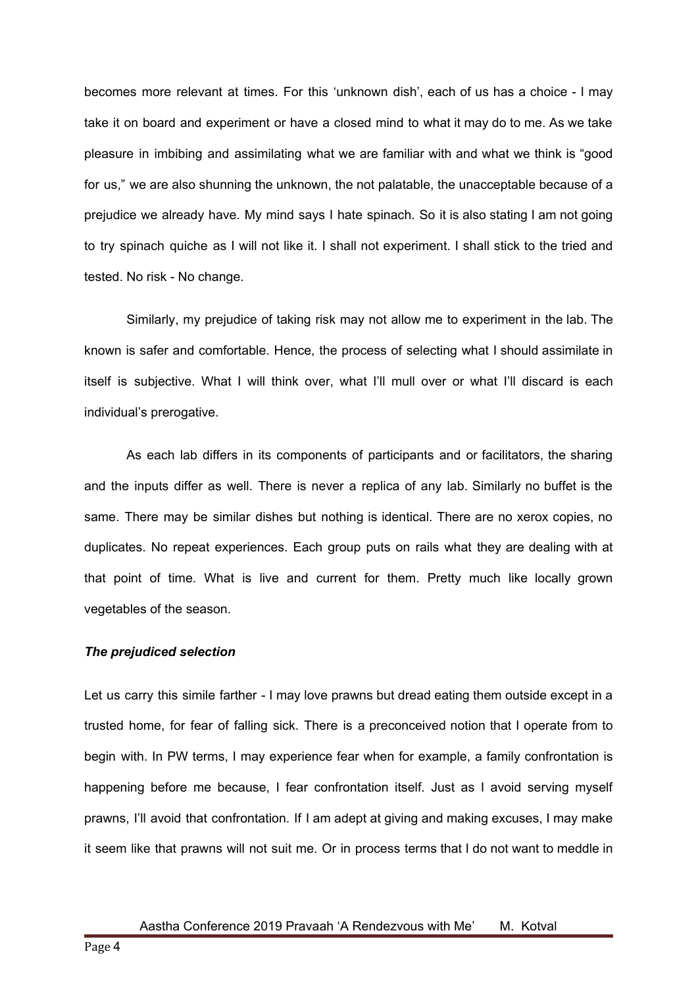becomes more relevant at times. For this 'unknown dish', each of us has a choice - I may take it on board and experiment or have a closed mind to what it may do to me. As we take pleasure in imbibing and assimilating what we are familiar with and what we think is "good for us," we are also shunning the unknown, the not palatable, the unacceptable because of a prejudice we already have. My mind says I hate spinach. So it is also stating I am not going to try spinach quiche as I will not like it. I shall not experiment. I shall stick to the tried and tested. No risk - No change.

Similarly, my prejudice of taking risk may not allow me to experiment in the lab. The known is safer and comfortable. Hence, the process of selecting what I should assimilate in itself is subjective. What I will think over, what I'll mull over or what I'll discard is each individual's prerogative.

As each lab differs in its components of participants and or facilitators, the sharing and the inputs differ as well. There is never a replica of any lab. Similarly no buffet is the same. There may be similar dishes but nothing is identical. There are no xerox copies, no duplicates. No repeat experiences. Each group puts on rails what they are dealing with at that point of time. What is live and current for them. Pretty much like locally grown vegetables of the season.

#### *The prejudiced selection*

Let us carry this simile farther - I may love prawns but dread eating them outside except in a trusted home, for fear of falling sick. There is a preconceived notion that I operate from to begin with. In PW terms, I may experience fear when for example, a family confrontation is happening before me because, I fear confrontation itself. Just as I avoid serving myself prawns, I'll avoid that confrontation. If I am adept at giving and making excuses, I may make it seem like that prawns will not suit me. Or in process terms that I do not want to meddle in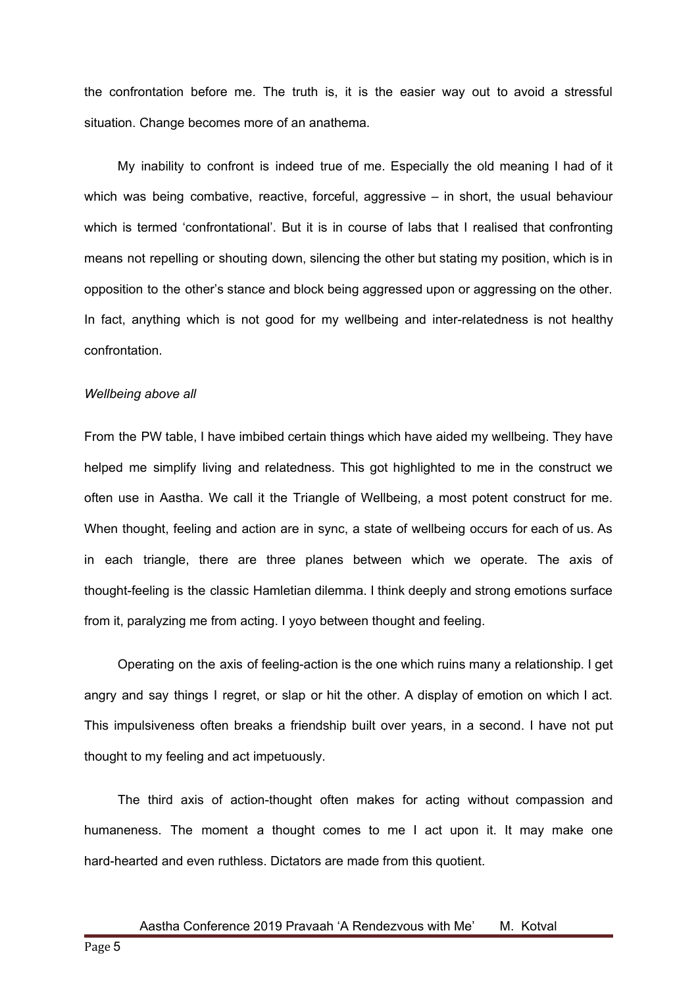the confrontation before me. The truth is, it is the easier way out to avoid a stressful situation. Change becomes more of an anathema.

My inability to confront is indeed true of me. Especially the old meaning I had of it which was being combative, reactive, forceful, aggressive  $-$  in short, the usual behaviour which is termed 'confrontational'. But it is in course of labs that I realised that confronting means not repelling or shouting down, silencing the other but stating my position, which is in opposition to the other's stance and block being aggressed upon or aggressing on the other. In fact, anything which is not good for my wellbeing and inter-relatedness is not healthy confrontation.

#### *Wellbeing above all*

From the PW table, I have imbibed certain things which have aided my wellbeing. They have helped me simplify living and relatedness. This got highlighted to me in the construct we often use in Aastha. We call it the Triangle of Wellbeing, a most potent construct for me. When thought, feeling and action are in sync, a state of wellbeing occurs for each of us. As in each triangle, there are three planes between which we operate. The axis of thought-feeling is the classic Hamletian dilemma. I think deeply and strong emotions surface from it, paralyzing me from acting. I yoyo between thought and feeling.

Operating on the axis of feeling-action is the one which ruins many a relationship. I get angry and say things I regret, or slap or hit the other. A display of emotion on which I act. This impulsiveness often breaks a friendship built over years, in a second. I have not put thought to my feeling and act impetuously.

The third axis of action-thought often makes for acting without compassion and humaneness. The moment a thought comes to me I act upon it. It may make one hard-hearted and even ruthless. Dictators are made from this quotient.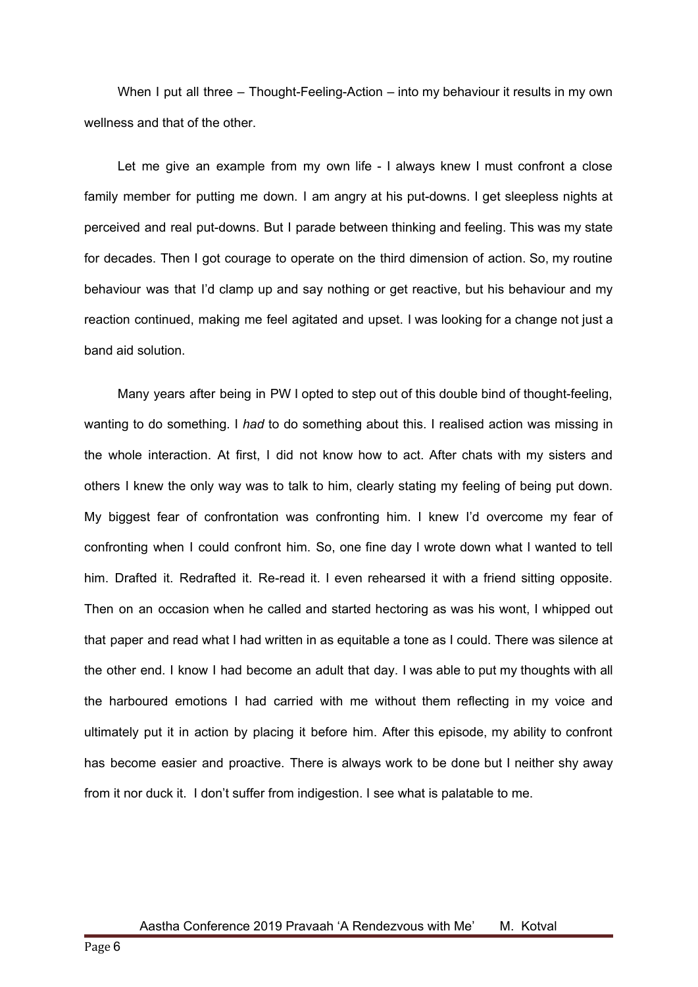When I put all three – Thought-Feeling-Action – into my behaviour it results in my own wellness and that of the other.

Let me give an example from my own life - I always knew I must confront a close family member for putting me down. I am angry at his put-downs. I get sleepless nights at perceived and real put-downs. But I parade between thinking and feeling. This was my state for decades. Then I got courage to operate on the third dimension of action. So, my routine behaviour was that I'd clamp up and say nothing or get reactive, but his behaviour and my reaction continued, making me feel agitated and upset. I was looking for a change not just a band aid solution.

Many years after being in PW I opted to step out of this double bind of thought-feeling, wanting to do something. I *had* to do something about this. I realised action was missing in the whole interaction. At first, I did not know how to act. After chats with my sisters and others I knew the only way was to talk to him, clearly stating my feeling of being put down. My biggest fear of confrontation was confronting him. I knew I'd overcome my fear of confronting when I could confront him. So, one fine day I wrote down what I wanted to tell him. Drafted it. Redrafted it. Re-read it. I even rehearsed it with a friend sitting opposite. Then on an occasion when he called and started hectoring as was his wont, I whipped out that paper and read what I had written in as equitable a tone as I could. There was silence at the other end. I know I had become an adult that day. I was able to put my thoughts with all the harboured emotions I had carried with me without them reflecting in my voice and ultimately put it in action by placing it before him. After this episode, my ability to confront has become easier and proactive. There is always work to be done but I neither shy away from it nor duck it. I don't suffer from indigestion. I see what is palatable to me.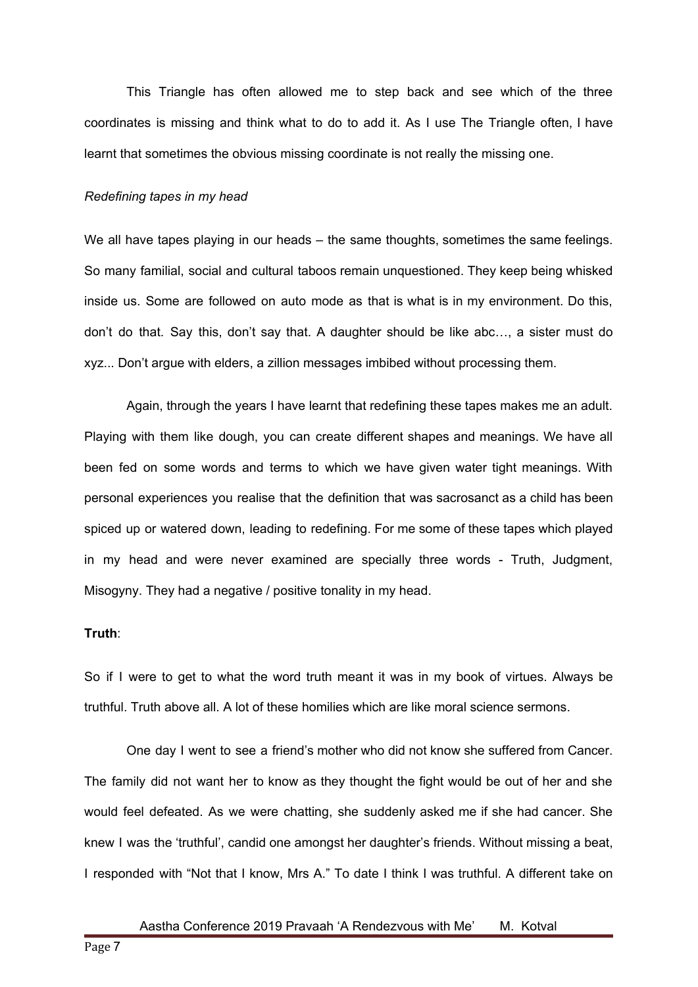This Triangle has often allowed me to step back and see which of the three coordinates is missing and think what to do to add it. As I use The Triangle often, I have learnt that sometimes the obvious missing coordinate is not really the missing one.

#### *Redefining tapes in my head*

We all have tapes playing in our heads – the same thoughts, sometimes the same feelings. So many familial, social and cultural taboos remain unquestioned. They keep being whisked inside us. Some are followed on auto mode as that is what is in my environment. Do this, don't do that. Say this, don't say that. A daughter should be like abc…, a sister must do xyz... Don't argue with elders, a zillion messages imbibed without processing them.

Again, through the years I have learnt that redefining these tapes makes me an adult. Playing with them like dough, you can create different shapes and meanings. We have all been fed on some words and terms to which we have given water tight meanings. With personal experiences you realise that the definition that was sacrosanct as a child has been spiced up or watered down, leading to redefining. For me some of these tapes which played in my head and were never examined are specially three words - Truth, Judgment, Misogyny. They had a negative / positive tonality in my head.

### **Truth**:

So if I were to get to what the word truth meant it was in my book of virtues. Always be truthful. Truth above all. A lot of these homilies which are like moral science sermons.

One day I went to see a friend's mother who did not know she suffered from Cancer. The family did not want her to know as they thought the fight would be out of her and she would feel defeated. As we were chatting, she suddenly asked me if she had cancer. She knew I was the 'truthful', candid one amongst her daughter's friends. Without missing a beat, I responded with "Not that I know, Mrs A." To date I think I was truthful. A different take on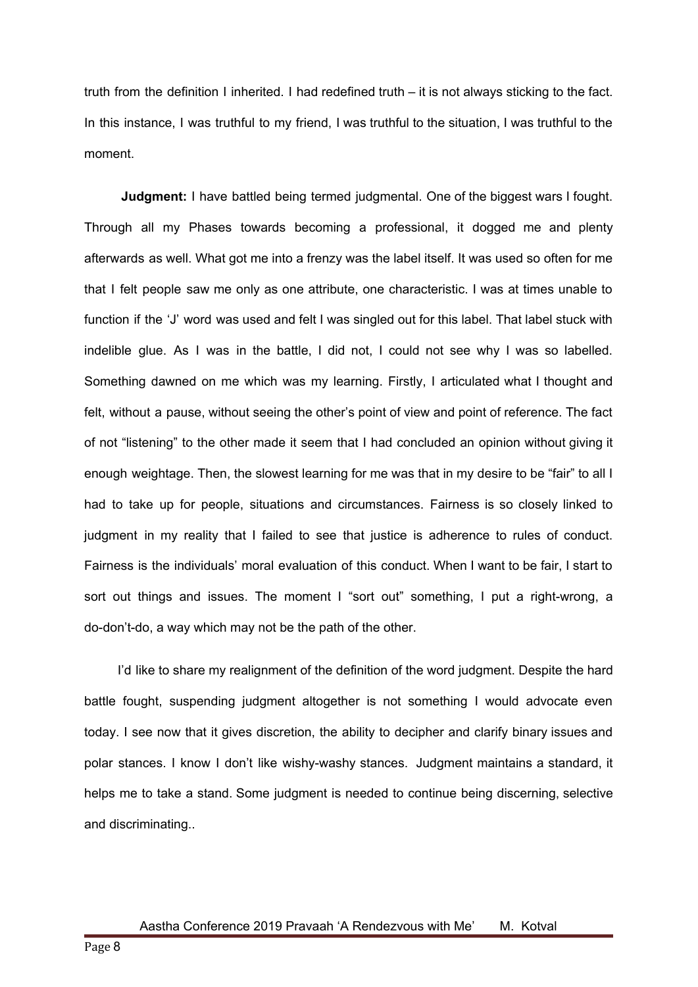truth from the definition I inherited. I had redefined truth – it is not always sticking to the fact. In this instance, I was truthful to my friend, I was truthful to the situation, I was truthful to the moment.

**Judgment:** I have battled being termed judgmental. One of the biggest wars I fought. Through all my Phases towards becoming a professional, it dogged me and plenty afterwards as well. What got me into a frenzy was the label itself. It was used so often for me that I felt people saw me only as one attribute, one characteristic. I was at times unable to function if the 'J' word was used and felt I was singled out for this label. That label stuck with indelible glue. As I was in the battle, I did not, I could not see why I was so labelled. Something dawned on me which was my learning. Firstly, I articulated what I thought and felt, without a pause, without seeing the other's point of view and point of reference. The fact of not "listening" to the other made it seem that I had concluded an opinion without giving it enough weightage. Then, the slowest learning for me was that in my desire to be "fair" to all I had to take up for people, situations and circumstances. Fairness is so closely linked to judgment in my reality that I failed to see that justice is adherence to rules of conduct. Fairness is the individuals' moral evaluation of this conduct. When I want to be fair, I start to sort out things and issues. The moment I "sort out" something, I put a right-wrong, a do-don't-do, a way which may not be the path of the other.

I'd like to share my realignment of the definition of the word judgment. Despite the hard battle fought, suspending judgment altogether is not something I would advocate even today. I see now that it gives discretion, the ability to decipher and clarify binary issues and polar stances. I know I don't like wishy-washy stances. Judgment maintains a standard, it helps me to take a stand. Some judgment is needed to continue being discerning, selective and discriminating..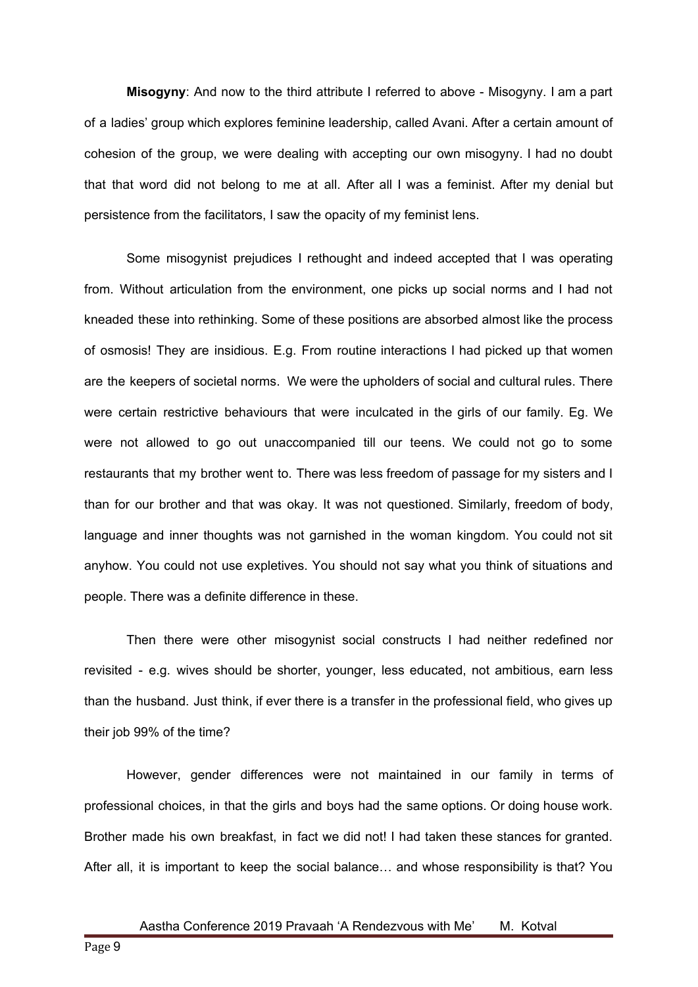**Misogyny**: And now to the third attribute I referred to above - Misogyny. I am a part of a ladies' group which explores feminine leadership, called Avani. After a certain amount of cohesion of the group, we were dealing with accepting our own misogyny. I had no doubt that that word did not belong to me at all. After all I was a feminist. After my denial but persistence from the facilitators, I saw the opacity of my feminist lens.

Some misogynist prejudices I rethought and indeed accepted that I was operating from. Without articulation from the environment, one picks up social norms and I had not kneaded these into rethinking. Some of these positions are absorbed almost like the process of osmosis! They are insidious. E.g. From routine interactions I had picked up that women are the keepers of societal norms. We were the upholders of social and cultural rules. There were certain restrictive behaviours that were inculcated in the girls of our family. Eg. We were not allowed to go out unaccompanied till our teens. We could not go to some restaurants that my brother went to. There was less freedom of passage for my sisters and I than for our brother and that was okay. It was not questioned. Similarly, freedom of body, language and inner thoughts was not garnished in the woman kingdom. You could not sit anyhow. You could not use expletives. You should not say what you think of situations and people. There was a definite difference in these.

Then there were other misogynist social constructs I had neither redefined nor revisited - e.g. wives should be shorter, younger, less educated, not ambitious, earn less than the husband. Just think, if ever there is a transfer in the professional field, who gives up their job 99% of the time?

However, gender differences were not maintained in our family in terms of professional choices, in that the girls and boys had the same options. Or doing house work. Brother made his own breakfast, in fact we did not! I had taken these stances for granted. After all, it is important to keep the social balance… and whose responsibility is that? You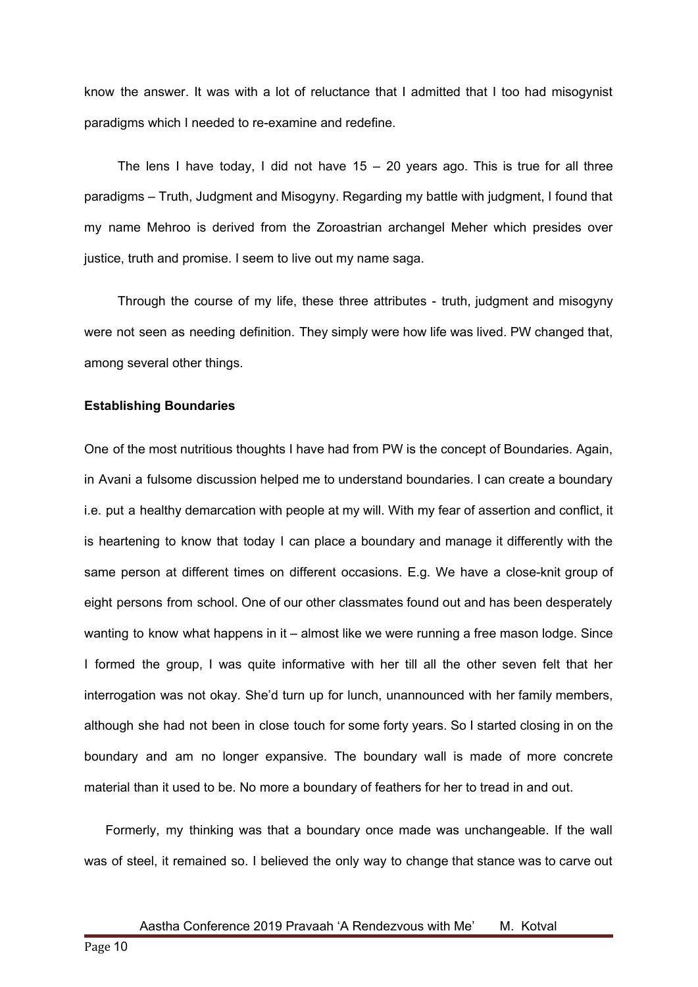know the answer. It was with a lot of reluctance that I admitted that I too had misogynist paradigms which I needed to re-examine and redefine.

The lens I have today, I did not have  $15 - 20$  years ago. This is true for all three paradigms – Truth, Judgment and Misogyny. Regarding my battle with judgment, I found that my name Mehroo is derived from the Zoroastrian archangel Meher which presides over justice, truth and promise. I seem to live out my name saga.

Through the course of my life, these three attributes - truth, judgment and misogyny were not seen as needing definition. They simply were how life was lived. PW changed that, among several other things.

#### **Establishing Boundaries**

One of the most nutritious thoughts I have had from PW is the concept of Boundaries. Again, in Avani a fulsome discussion helped me to understand boundaries. I can create a boundary i.e. put a healthy demarcation with people at my will. With my fear of assertion and conflict, it is heartening to know that today I can place a boundary and manage it differently with the same person at different times on different occasions. E.g. We have a close-knit group of eight persons from school. One of our other classmates found out and has been desperately wanting to know what happens in it – almost like we were running a free mason lodge. Since I formed the group, I was quite informative with her till all the other seven felt that her interrogation was not okay. She'd turn up for lunch, unannounced with her family members, although she had not been in close touch for some forty years. So I started closing in on the boundary and am no longer expansive. The boundary wall is made of more concrete material than it used to be. No more a boundary of feathers for her to tread in and out.

Formerly, my thinking was that a boundary once made was unchangeable. If the wall was of steel, it remained so. I believed the only way to change that stance was to carve out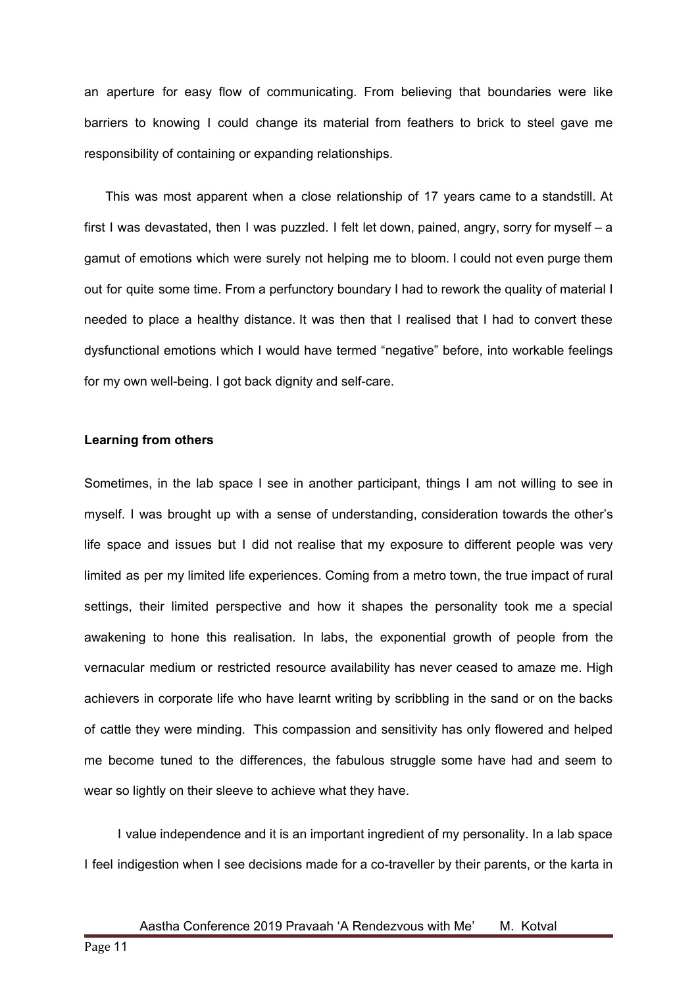an aperture for easy flow of communicating. From believing that boundaries were like barriers to knowing I could change its material from feathers to brick to steel gave me responsibility of containing or expanding relationships.

This was most apparent when a close relationship of 17 years came to a standstill. At first I was devastated, then I was puzzled. I felt let down, pained, angry, sorry for myself – a gamut of emotions which were surely not helping me to bloom. I could not even purge them out for quite some time. From a perfunctory boundary I had to rework the quality of material I needed to place a healthy distance. It was then that I realised that I had to convert these dysfunctional emotions which I would have termed "negative" before, into workable feelings for my own well-being. I got back dignity and self-care.

# **Learning from others**

Sometimes, in the lab space I see in another participant, things I am not willing to see in myself. I was brought up with a sense of understanding, consideration towards the other's life space and issues but I did not realise that my exposure to different people was very limited as per my limited life experiences. Coming from a metro town, the true impact of rural settings, their limited perspective and how it shapes the personality took me a special awakening to hone this realisation. In labs, the exponential growth of people from the vernacular medium or restricted resource availability has never ceased to amaze me. High achievers in corporate life who have learnt writing by scribbling in the sand or on the backs of cattle they were minding. This compassion and sensitivity has only flowered and helped me become tuned to the differences, the fabulous struggle some have had and seem to wear so lightly on their sleeve to achieve what they have.

I value independence and it is an important ingredient of my personality. In a lab space I feel indigestion when I see decisions made for a co-traveller by their parents, or the karta in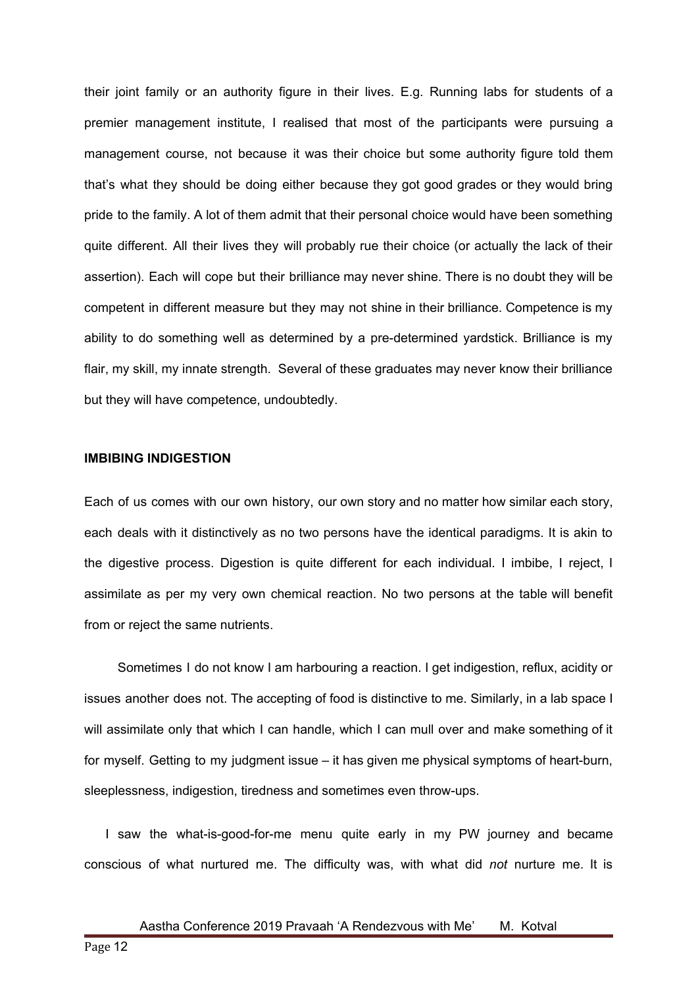their joint family or an authority figure in their lives. E.g. Running labs for students of a premier management institute, I realised that most of the participants were pursuing a management course, not because it was their choice but some authority figure told them that's what they should be doing either because they got good grades or they would bring pride to the family. A lot of them admit that their personal choice would have been something quite different. All their lives they will probably rue their choice (or actually the lack of their assertion). Each will cope but their brilliance may never shine. There is no doubt they will be competent in different measure but they may not shine in their brilliance. Competence is my ability to do something well as determined by a pre-determined yardstick. Brilliance is my flair, my skill, my innate strength. Several of these graduates may never know their brilliance but they will have competence, undoubtedly.

#### **IMBIBING INDIGESTION**

Each of us comes with our own history, our own story and no matter how similar each story, each deals with it distinctively as no two persons have the identical paradigms. It is akin to the digestive process. Digestion is quite different for each individual. I imbibe, I reject, I assimilate as per my very own chemical reaction. No two persons at the table will benefit from or reject the same nutrients.

Sometimes I do not know I am harbouring a reaction. I get indigestion, reflux, acidity or issues another does not. The accepting of food is distinctive to me. Similarly, in a lab space I will assimilate only that which I can handle, which I can mull over and make something of it for myself. Getting to my judgment issue – it has given me physical symptoms of heart-burn, sleeplessness, indigestion, tiredness and sometimes even throw-ups.

I saw the what-is-good-for-me menu quite early in my PW journey and became conscious of what nurtured me. The difficulty was, with what did *not* nurture me. It is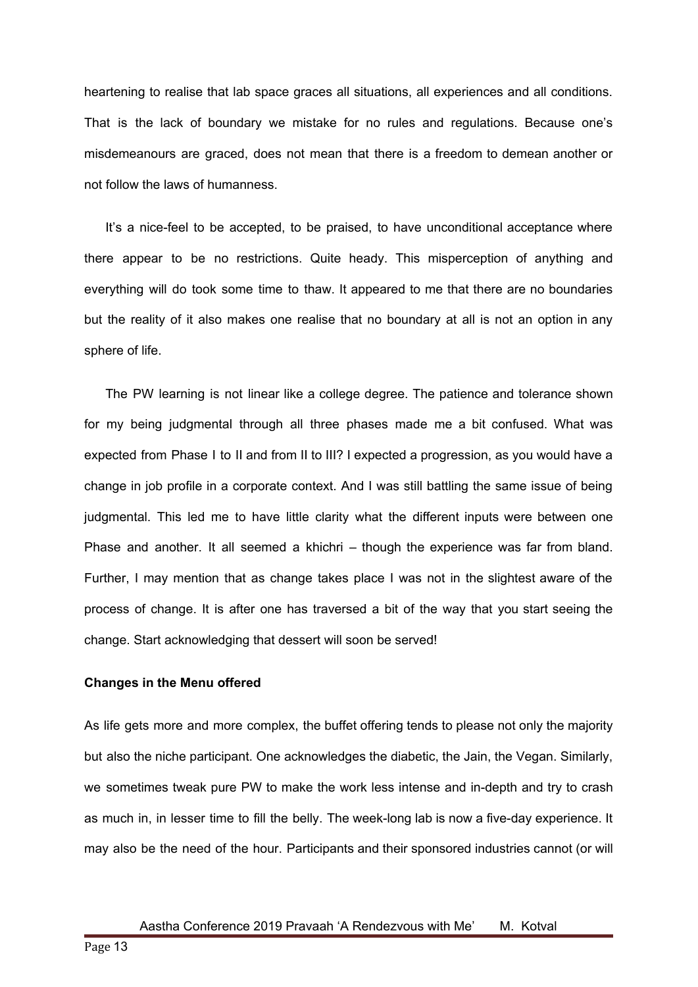heartening to realise that lab space graces all situations, all experiences and all conditions. That is the lack of boundary we mistake for no rules and regulations. Because one's misdemeanours are graced, does not mean that there is a freedom to demean another or not follow the laws of humanness.

It's a nice-feel to be accepted, to be praised, to have unconditional acceptance where there appear to be no restrictions. Quite heady. This misperception of anything and everything will do took some time to thaw. It appeared to me that there are no boundaries but the reality of it also makes one realise that no boundary at all is not an option in any sphere of life.

The PW learning is not linear like a college degree. The patience and tolerance shown for my being judgmental through all three phases made me a bit confused. What was expected from Phase I to II and from II to III? I expected a progression, as you would have a change in job profile in a corporate context. And I was still battling the same issue of being judgmental. This led me to have little clarity what the different inputs were between one Phase and another. It all seemed a khichri – though the experience was far from bland. Further, I may mention that as change takes place I was not in the slightest aware of the process of change. It is after one has traversed a bit of the way that you start seeing the change. Start acknowledging that dessert will soon be served!

# **Changes in the Menu offered**

As life gets more and more complex, the buffet offering tends to please not only the majority but also the niche participant. One acknowledges the diabetic, the Jain, the Vegan. Similarly, we sometimes tweak pure PW to make the work less intense and in-depth and try to crash as much in, in lesser time to fill the belly. The week-long lab is now a five-day experience. It may also be the need of the hour. Participants and their sponsored industries cannot (or will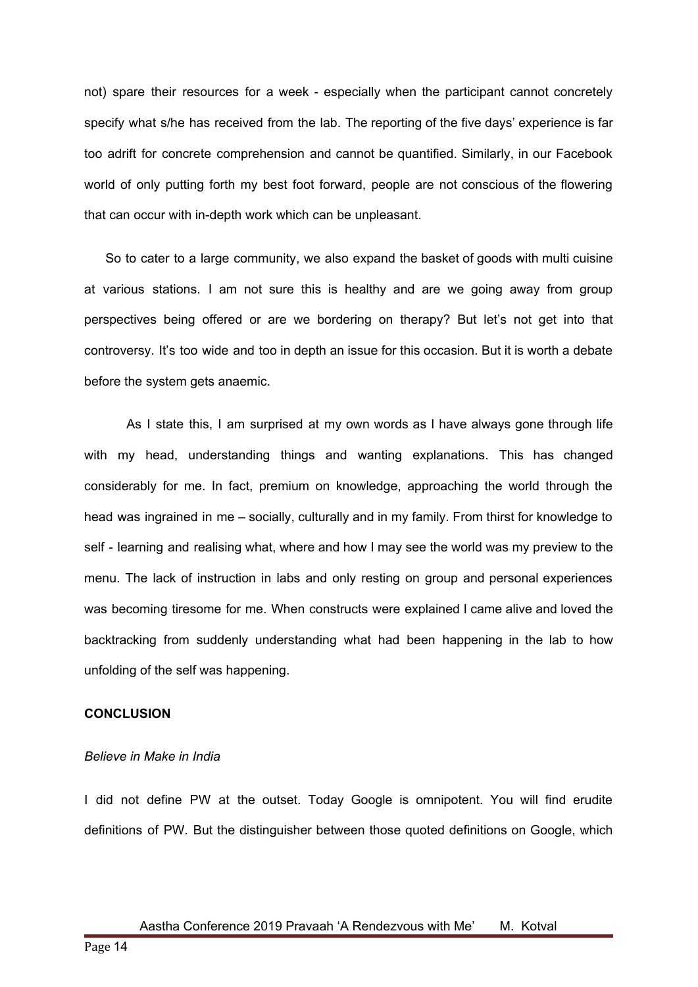not) spare their resources for a week - especially when the participant cannot concretely specify what s/he has received from the lab. The reporting of the five days' experience is far too adrift for concrete comprehension and cannot be quantified. Similarly, in our Facebook world of only putting forth my best foot forward, people are not conscious of the flowering that can occur with in-depth work which can be unpleasant.

So to cater to a large community, we also expand the basket of goods with multi cuisine at various stations. I am not sure this is healthy and are we going away from group perspectives being offered or are we bordering on therapy? But let's not get into that controversy. It's too wide and too in depth an issue for this occasion. But it is worth a debate before the system gets anaemic.

As I state this, I am surprised at my own words as I have always gone through life with my head, understanding things and wanting explanations. This has changed considerably for me. In fact, premium on knowledge, approaching the world through the head was ingrained in me – socially, culturally and in my family. From thirst for knowledge to self - learning and realising what, where and how I may see the world was my preview to the menu. The lack of instruction in labs and only resting on group and personal experiences was becoming tiresome for me. When constructs were explained I came alive and loved the backtracking from suddenly understanding what had been happening in the lab to how unfolding of the self was happening.

# **CONCLUSION**

#### *Believe in Make in India*

I did not define PW at the outset. Today Google is omnipotent. You will find erudite definitions of PW. But the distinguisher between those quoted definitions on Google, which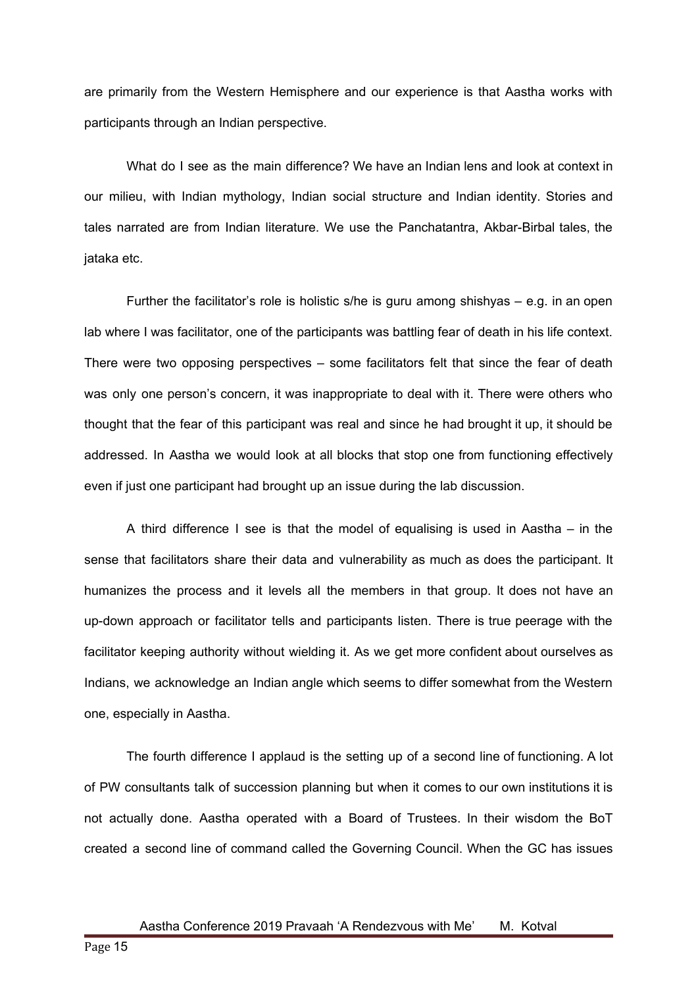are primarily from the Western Hemisphere and our experience is that Aastha works with participants through an Indian perspective.

What do I see as the main difference? We have an Indian lens and look at context in our milieu, with Indian mythology, Indian social structure and Indian identity. Stories and tales narrated are from Indian literature. We use the Panchatantra, Akbar-Birbal tales, the jataka etc.

Further the facilitator's role is holistic s/he is guru among shishyas  $-$  e.g. in an open lab where I was facilitator, one of the participants was battling fear of death in his life context. There were two opposing perspectives – some facilitators felt that since the fear of death was only one person's concern, it was inappropriate to deal with it. There were others who thought that the fear of this participant was real and since he had brought it up, it should be addressed. In Aastha we would look at all blocks that stop one from functioning effectively even if just one participant had brought up an issue during the lab discussion.

A third difference I see is that the model of equalising is used in Aastha – in the sense that facilitators share their data and vulnerability as much as does the participant. It humanizes the process and it levels all the members in that group. It does not have an up-down approach or facilitator tells and participants listen. There is true peerage with the facilitator keeping authority without wielding it. As we get more confident about ourselves as Indians, we acknowledge an Indian angle which seems to differ somewhat from the Western one, especially in Aastha.

The fourth difference I applaud is the setting up of a second line of functioning. A lot of PW consultants talk of succession planning but when it comes to our own institutions it is not actually done. Aastha operated with a Board of Trustees. In their wisdom the BoT created a second line of command called the Governing Council. When the GC has issues